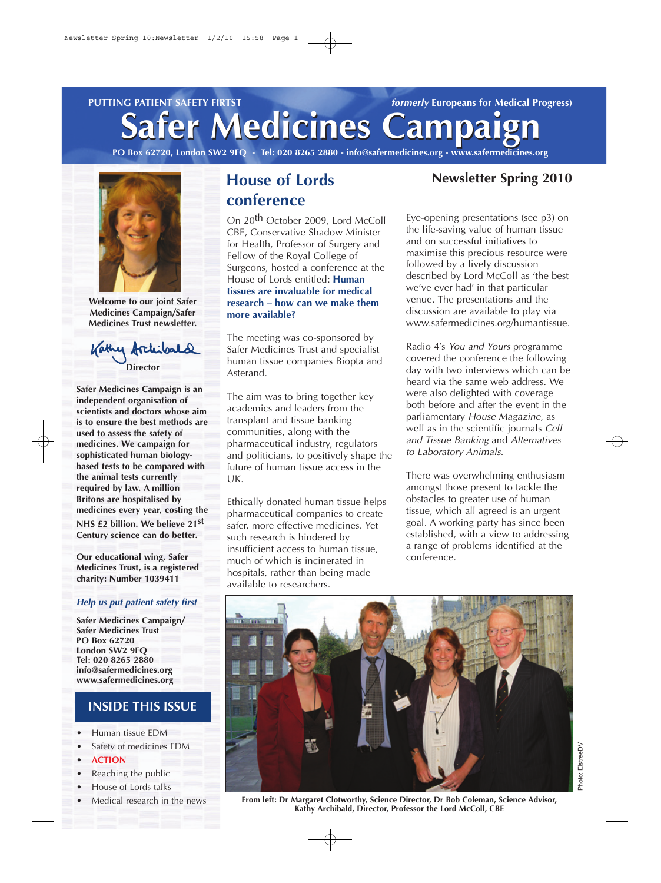**Safer Medicines Campaign Safer Medicines Campaign PUTTING PATIENT SAFETY FIRTST** *formerly* **Europeans for Medical Progress)** 

**PO Box 62720, London SW2 9FQ - Tel: 020 8265 2880 - info@safermedicines.org - www.safermedicines.org**



**Welcome to our joint Safer Medicines Campaign/Safer Medicines Trust newsletter.**

Kathy Archi **Director**

**Safer Medicines Campaign is an independent organisation of scientists and doctors whose aim is to ensure the best methods are used to assess the safety of medicines. We campaign for sophisticated human biologybased tests to be compared with the animal tests currently required by law. A million Britons are hospitalised by medicines every year, costing the NHS £2 billion. We believe 21st Century science can do better.** 

**Our educational wing, Safer Medicines Trust, is a registered charity: Number 1039411**

#### **Help us put patient safety first**

**Safer Medicines Campaign/ Safer Medicines Trust PO Box 62720 London SW2 9FQ Tel: 020 8265 2880 info@safermedicines.org www.safermedicines.org**

#### **INSIDE THIS ISSUE**

- **•** Human tissue EDM
- **•** Safety of medicines EDM
- **• ACTION**
- **•** Reaching the public
- **•** House of Lords talks
- **•** Medical research in the news

## **House of Lords conference**

On 20<sup>th</sup> October 2009, Lord McColl CBE, Conservative Shadow Minister for Health, Professor of Surgery and Fellow of the Royal College of Surgeons, hosted a conference at the House of Lords entitled: **Human tissues are invaluable for medical research – how can we make them more available?**

The meeting was co-sponsored by Safer Medicines Trust and specialist human tissue companies Biopta and Asterand.

The aim was to bring together key academics and leaders from the transplant and tissue banking communities, along with the pharmaceutical industry, regulators and politicians, to positively shape the future of human tissue access in the UK.

Ethically donated human tissue helps pharmaceutical companies to create safer, more effective medicines. Yet such research is hindered by insufficient access to human tissue, much of which is incinerated in hospitals, rather than being made available to researchers.

#### **Newsletter Spring 2010**

Eye-opening presentations (see p3) on the life-saving value of human tissue and on successful initiatives to maximise this precious resource were followed by a lively discussion described by Lord McColl as 'the best we've ever had' in that particular venue. The presentations and the discussion are available to play via www.safermedicines.org/humantissue.

Radio 4's You and Yours programme covered the conference the following day with two interviews which can be heard via the same web address. We were also delighted with coverage both before and after the event in the parliamentary House Magazine, as well as in the scientific journals Cell and Tissue Banking and Alternatives to Laboratory Animals.

There was overwhelming enthusiasm amongst those present to tackle the obstacles to greater use of human tissue, which all agreed is an urgent goal. A working party has since been established, with a view to addressing a range of problems identified at the conference.



Photo: ElstreeDV

Photo: ElstreeDV

**From left: Dr Margaret Clotworthy, Science Director, Dr Bob Coleman, Science Advisor, Kathy Archibald, Director, Professor the Lord McColl, CBE**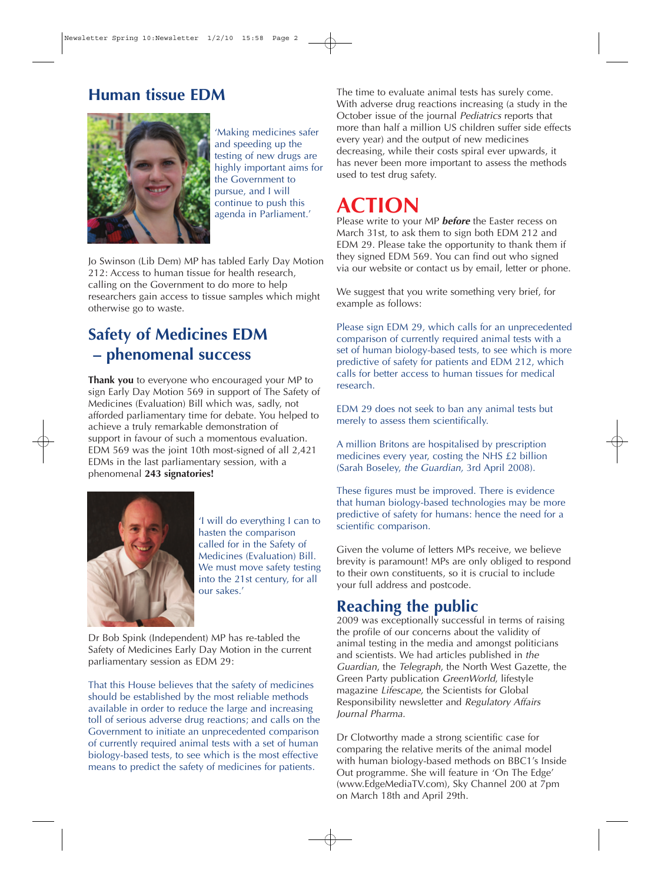## **Human tissue EDM**



'Making medicines safer and speeding up the testing of new drugs are highly important aims for the Government to pursue, and I will continue to push this agenda in Parliament.'

Jo Swinson (Lib Dem) MP has tabled Early Day Motion 212: Access to human tissue for health research, calling on the Government to do more to help researchers gain access to tissue samples which might otherwise go to waste.

## **Safety of Medicines EDM – phenomenal success**

**Thank you** to everyone who encouraged your MP to sign Early Day Motion 569 in support of The Safety of Medicines (Evaluation) Bill which was, sadly, not afforded parliamentary time for debate. You helped to achieve a truly remarkable demonstration of support in favour of such a momentous evaluation. EDM 569 was the joint 10th most-signed of all 2,421 EDMs in the last parliamentary session, with a phenomenal **243 signatories!**



'I will do everything I can to hasten the comparison called for in the Safety of Medicines (Evaluation) Bill. We must move safety testing into the 21st century, for all our sakes.'

Dr Bob Spink (Independent) MP has re-tabled the Safety of Medicines Early Day Motion in the current parliamentary session as EDM 29:

That this House believes that the safety of medicines should be established by the most reliable methods available in order to reduce the large and increasing toll of serious adverse drug reactions; and calls on the Government to initiate an unprecedented comparison of currently required animal tests with a set of human biology-based tests, to see which is the most effective means to predict the safety of medicines for patients.

The time to evaluate animal tests has surely come. With adverse drug reactions increasing (a study in the October issue of the journal Pediatrics reports that more than half a million US children suffer side effects every year) and the output of new medicines decreasing, while their costs spiral ever upwards, it has never been more important to assess the methods used to test drug safety.

## **ACTION**

Please write to your MP **before** the Easter recess on March 31st, to ask them to sign both EDM 212 and EDM 29. Please take the opportunity to thank them if they signed EDM 569. You can find out who signed via our website or contact us by email, letter or phone.

We suggest that you write something very brief, for example as follows:

Please sign EDM 29, which calls for an unprecedented comparison of currently required animal tests with a set of human biology-based tests, to see which is more predictive of safety for patients and EDM 212, which calls for better access to human tissues for medical research.

EDM 29 does not seek to ban any animal tests but merely to assess them scientifically.

A million Britons are hospitalised by prescription medicines every year, costing the NHS £2 billion (Sarah Boseley, the Guardian, 3rd April 2008).

These figures must be improved. There is evidence that human biology-based technologies may be more predictive of safety for humans: hence the need for a scientific comparison.

Given the volume of letters MPs receive, we believe brevity is paramount! MPs are only obliged to respond to their own constituents, so it is crucial to include your full address and postcode.

## **Reaching the public**

2009 was exceptionally successful in terms of raising the profile of our concerns about the validity of animal testing in the media and amongst politicians and scientists. We had articles published in the Guardian, the Telegraph, the North West Gazette, the Green Party publication GreenWorld, lifestyle magazine Lifescape, the Scientists for Global Responsibility newsletter and Regulatory Affairs Journal Pharma.

Dr Clotworthy made a strong scientific case for comparing the relative merits of the animal model with human biology-based methods on BBC1's Inside Out programme. She will feature in 'On The Edge' (www.EdgeMediaTV.com), Sky Channel 200 at 7pm on March 18th and April 29th.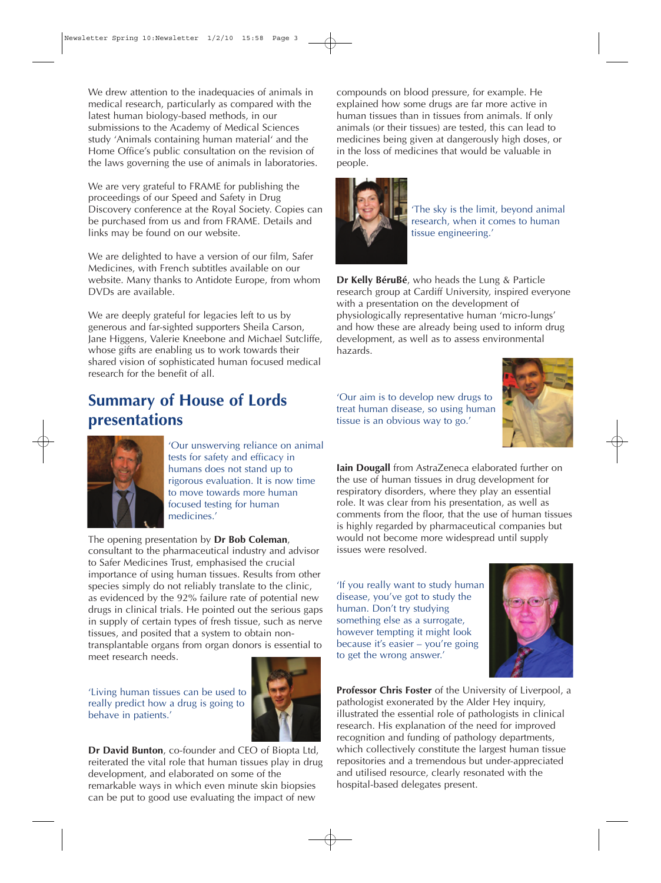We drew attention to the inadequacies of animals in medical research, particularly as compared with the latest human biology-based methods, in our submissions to the Academy of Medical Sciences study 'Animals containing human material' and the Home Office's public consultation on the revision of the laws governing the use of animals in laboratories.

We are very grateful to FRAME for publishing the proceedings of our Speed and Safety in Drug Discovery conference at the Royal Society. Copies can be purchased from us and from FRAME. Details and links may be found on our website.

We are delighted to have a version of our film, Safer Medicines, with French subtitles available on our website. Many thanks to Antidote Europe, from whom DVDs are available.

We are deeply grateful for legacies left to us by generous and far-sighted supporters Sheila Carson, Jane Higgens, Valerie Kneebone and Michael Sutcliffe, whose gifts are enabling us to work towards their shared vision of sophisticated human focused medical research for the benefit of all.

## **Summary of House of Lords presentations**



'Our unswerving reliance on animal tests for safety and efficacy in humans does not stand up to rigorous evaluation. It is now time to move towards more human focused testing for human medicines.'

The opening presentation by **Dr Bob Coleman**, consultant to the pharmaceutical industry and advisor to Safer Medicines Trust, emphasised the crucial importance of using human tissues. Results from other species simply do not reliably translate to the clinic, as evidenced by the 92% failure rate of potential new drugs in clinical trials. He pointed out the serious gaps in supply of certain types of fresh tissue, such as nerve tissues, and posited that a system to obtain nontransplantable organs from organ donors is essential to meet research needs.

'Living human tissues can be used to really predict how a drug is going to behave in patients.'



**Dr David Bunton**, co-founder and CEO of Biopta Ltd, reiterated the vital role that human tissues play in drug development, and elaborated on some of the remarkable ways in which even minute skin biopsies can be put to good use evaluating the impact of new

compounds on blood pressure, for example. He explained how some drugs are far more active in human tissues than in tissues from animals. If only animals (or their tissues) are tested, this can lead to medicines being given at dangerously high doses, or in the loss of medicines that would be valuable in people.



'The sky is the limit, beyond animal research, when it comes to human tissue engineering.'

**Dr Kelly BéruBé**, who heads the Lung & Particle research group at Cardiff University, inspired everyone with a presentation on the development of physiologically representative human 'micro-lungs' and how these are already being used to inform drug development, as well as to assess environmental hazards.

'Our aim is to develop new drugs to treat human disease, so using human tissue is an obvious way to go.'



**Iain Dougall** from AstraZeneca elaborated further on the use of human tissues in drug development for respiratory disorders, where they play an essential role. It was clear from his presentation, as well as comments from the floor, that the use of human tissues is highly regarded by pharmaceutical companies but would not become more widespread until supply issues were resolved.

'If you really want to study human disease, you've got to study the human. Don't try studying something else as a surrogate, however tempting it might look because it's easier – you're going to get the wrong answer.'



**Professor Chris Foster** of the University of Liverpool, a pathologist exonerated by the Alder Hey inquiry, illustrated the essential role of pathologists in clinical research. His explanation of the need for improved recognition and funding of pathology departments, which collectively constitute the largest human tissue repositories and a tremendous but under-appreciated and utilised resource, clearly resonated with the hospital-based delegates present.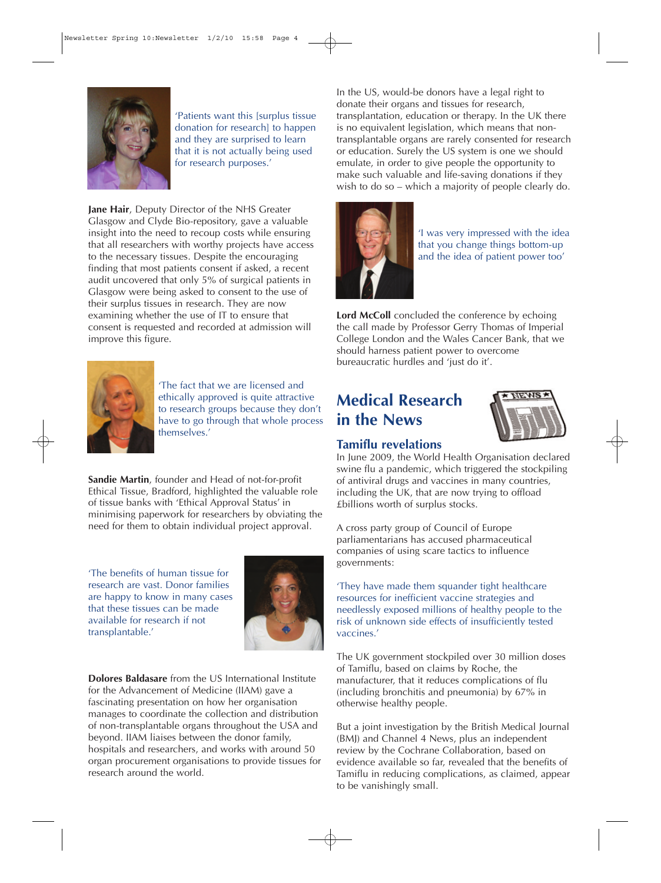

'Patients want this [surplus tissue donation for research] to happen and they are surprised to learn that it is not actually being used for research purposes.'

**Jane Hair**, Deputy Director of the NHS Greater Glasgow and Clyde Bio-repository, gave a valuable insight into the need to recoup costs while ensuring that all researchers with worthy projects have access to the necessary tissues. Despite the encouraging finding that most patients consent if asked, a recent audit uncovered that only 5% of surgical patients in Glasgow were being asked to consent to the use of their surplus tissues in research. They are now examining whether the use of IT to ensure that consent is requested and recorded at admission will improve this figure.



'The fact that we are licensed and ethically approved is quite attractive to research groups because they don't have to go through that whole process themselves.'

**Sandie Martin**, founder and Head of not-for-profit Ethical Tissue, Bradford, highlighted the valuable role of tissue banks with 'Ethical Approval Status' in minimising paperwork for researchers by obviating the need for them to obtain individual project approval.

'The benefits of human tissue for research are vast. Donor families are happy to know in many cases that these tissues can be made available for research if not transplantable.'



**Dolores Baldasare** from the US International Institute for the Advancement of Medicine (IIAM) gave a fascinating presentation on how her organisation manages to coordinate the collection and distribution of non-transplantable organs throughout the USA and beyond. IIAM liaises between the donor family, hospitals and researchers, and works with around 50 organ procurement organisations to provide tissues for research around the world.

In the US, would-be donors have a legal right to donate their organs and tissues for research, transplantation, education or therapy. In the UK there is no equivalent legislation, which means that nontransplantable organs are rarely consented for research or education. Surely the US system is one we should emulate, in order to give people the opportunity to make such valuable and life-saving donations if they wish to do so – which a majority of people clearly do.



'I was very impressed with the idea that you change things bottom-up and the idea of patient power too'

Lord McColl concluded the conference by echoing the call made by Professor Gerry Thomas of Imperial College London and the Wales Cancer Bank, that we should harness patient power to overcome bureaucratic hurdles and 'just do it'.

## **Medical Research in the News**



#### **Tamiflu revelations**

In June 2009, the World Health Organisation declared swine flu a pandemic, which triggered the stockpiling of antiviral drugs and vaccines in many countries, including the UK, that are now trying to offload £billions worth of surplus stocks.

A cross party group of Council of Europe parliamentarians has accused pharmaceutical companies of using scare tactics to influence governments:

'They have made them squander tight healthcare resources for inefficient vaccine strategies and needlessly exposed millions of healthy people to the risk of unknown side effects of insufficiently tested vaccines.'

The UK government stockpiled over 30 million doses of Tamiflu, based on claims by Roche, the manufacturer, that it reduces complications of flu (including bronchitis and pneumonia) by 67% in otherwise healthy people.

But a joint investigation by the British Medical Journal (BMJ) and Channel 4 News, plus an independent review by the Cochrane Collaboration, based on evidence available so far, revealed that the benefits of Tamiflu in reducing complications, as claimed, appear to be vanishingly small.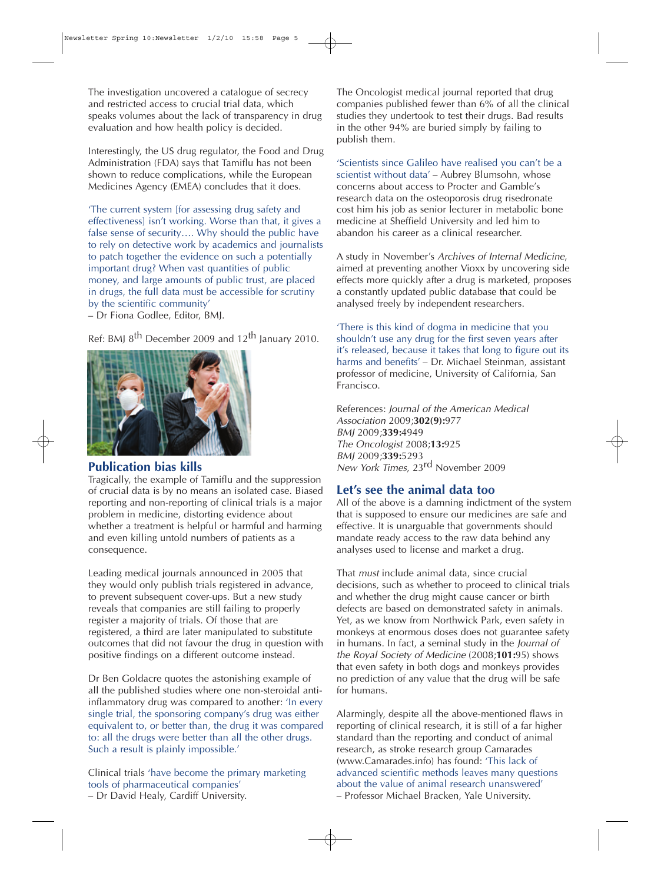The investigation uncovered a catalogue of secrecy and restricted access to crucial trial data, which speaks volumes about the lack of transparency in drug evaluation and how health policy is decided.

Interestingly, the US drug regulator, the Food and Drug Administration (FDA) says that Tamiflu has not been shown to reduce complications, while the European Medicines Agency (EMEA) concludes that it does.

'The current system [for assessing drug safety and effectiveness] isn't working. Worse than that, it gives a false sense of security…. Why should the public have to rely on detective work by academics and journalists to patch together the evidence on such a potentially important drug? When vast quantities of public money, and large amounts of public trust, are placed in drugs, the full data must be accessible for scrutiny by the scientific community'

– Dr Fiona Godlee, Editor, BMJ.

Ref: BMJ 8<sup>th</sup> December 2009 and 12<sup>th</sup> January 2010.



#### **Publication bias kills**

Tragically, the example of Tamiflu and the suppression of crucial data is by no means an isolated case. Biased reporting and non-reporting of clinical trials is a major problem in medicine, distorting evidence about whether a treatment is helpful or harmful and harming and even killing untold numbers of patients as a consequence.

Leading medical journals announced in 2005 that they would only publish trials registered in advance, to prevent subsequent cover-ups. But a new study reveals that companies are still failing to properly register a majority of trials. Of those that are registered, a third are later manipulated to substitute outcomes that did not favour the drug in question with positive findings on a different outcome instead.

Dr Ben Goldacre quotes the astonishing example of all the published studies where one non-steroidal antiinflammatory drug was compared to another: 'In every single trial, the sponsoring company's drug was either equivalent to, or better than, the drug it was compared to: all the drugs were better than all the other drugs. Such a result is plainly impossible.'

Clinical trials 'have become the primary marketing tools of pharmaceutical companies' – Dr David Healy, Cardiff University.

The Oncologist medical journal reported that drug companies published fewer than 6% of all the clinical studies they undertook to test their drugs. Bad results in the other 94% are buried simply by failing to publish them.

'Scientists since Galileo have realised you can't be a scientist without data' – Aubrey Blumsohn, whose concerns about access to Procter and Gamble's research data on the osteoporosis drug risedronate cost him his job as senior lecturer in metabolic bone medicine at Sheffield University and led him to abandon his career as a clinical researcher.

A study in November's Archives of Internal Medicine, aimed at preventing another Vioxx by uncovering side effects more quickly after a drug is marketed, proposes a constantly updated public database that could be analysed freely by independent researchers.

'There is this kind of dogma in medicine that you shouldn't use any drug for the first seven years after it's released, because it takes that long to figure out its harms and benefits' – Dr. Michael Steinman, assistant professor of medicine, University of California, San Francisco.

References: Journal of the American Medical Association 2009;**302(9):**977 BMJ 2009;**339:**4949 The Oncologist 2008;**13:**925 BMJ 2009;**339:**5293 New York Times, 23<sup>rd</sup> November 2009

#### **Let's see the animal data too**

All of the above is a damning indictment of the system that is supposed to ensure our medicines are safe and effective. It is unarguable that governments should mandate ready access to the raw data behind any analyses used to license and market a drug.

That must include animal data, since crucial decisions, such as whether to proceed to clinical trials and whether the drug might cause cancer or birth defects are based on demonstrated safety in animals. Yet, as we know from Northwick Park, even safety in monkeys at enormous doses does not guarantee safety in humans. In fact, a seminal study in the Journal of the Royal Society of Medicine (2008;**101:**95) shows that even safety in both dogs and monkeys provides no prediction of any value that the drug will be safe for humans.

Alarmingly, despite all the above-mentioned flaws in reporting of clinical research, it is still of a far higher standard than the reporting and conduct of animal research, as stroke research group Camarades (www.Camarades.info) has found: 'This lack of advanced scientific methods leaves many questions about the value of animal research unanswered' – Professor Michael Bracken, Yale University.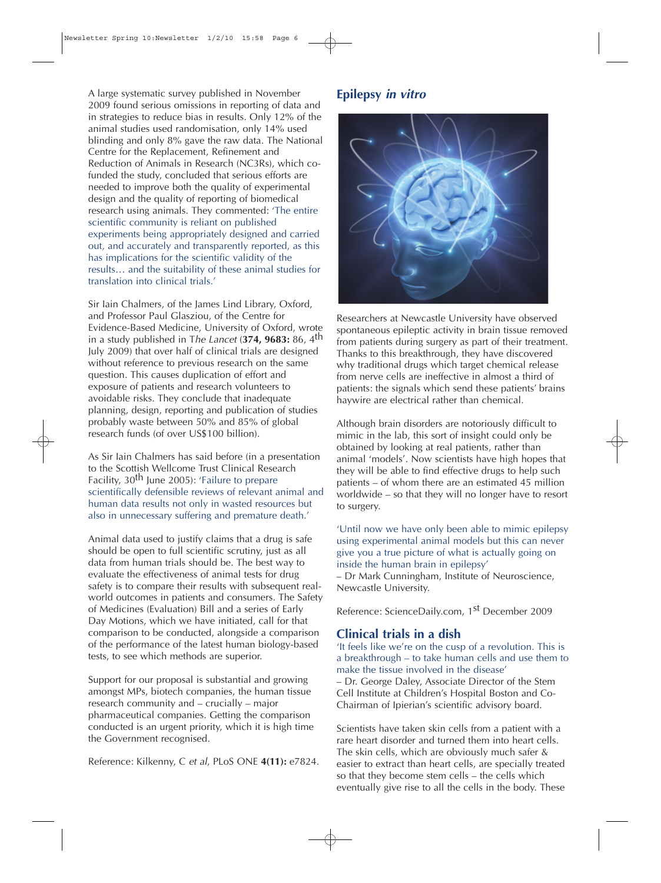A large systematic survey published in November 2009 found serious omissions in reporting of data and in strategies to reduce bias in results. Only 12% of the animal studies used randomisation, only 14% used blinding and only 8% gave the raw data. The National Centre for the Replacement, Refinement and Reduction of Animals in Research (NC3Rs), which cofunded the study, concluded that serious efforts are needed to improve both the quality of experimental design and the quality of reporting of biomedical research using animals. They commented: 'The entire scientific community is reliant on published experiments being appropriately designed and carried out, and accurately and transparently reported, as this has implications for the scientific validity of the results… and the suitability of these animal studies for translation into clinical trials.'

Sir Iain Chalmers, of the James Lind Library, Oxford, and Professor Paul Glasziou, of the Centre for Evidence-Based Medicine, University of Oxford, wrote in a study published in The Lancet (**374, 9683:** 86, 4th July 2009) that over half of clinical trials are designed without reference to previous research on the same question. This causes duplication of effort and exposure of patients and research volunteers to avoidable risks. They conclude that inadequate planning, design, reporting and publication of studies probably waste between 50% and 85% of global research funds (of over US\$100 billion).

As Sir Iain Chalmers has said before (in a presentation to the Scottish Wellcome Trust Clinical Research Facility, 30<sup>th</sup> June 2005): 'Failure to prepare scientifically defensible reviews of relevant animal and human data results not only in wasted resources but also in unnecessary suffering and premature death.'

Animal data used to justify claims that a drug is safe should be open to full scientific scrutiny, just as all data from human trials should be. The best way to evaluate the effectiveness of animal tests for drug safety is to compare their results with subsequent realworld outcomes in patients and consumers. The Safety of Medicines (Evaluation) Bill and a series of Early Day Motions, which we have initiated, call for that comparison to be conducted, alongside a comparison of the performance of the latest human biology-based tests, to see which methods are superior.

Support for our proposal is substantial and growing amongst MPs, biotech companies, the human tissue research community and – crucially – major pharmaceutical companies. Getting the comparison conducted is an urgent priority, which it is high time the Government recognised.

Reference: Kilkenny, C et al, PLoS ONE **4(11):** e7824.

#### **Epilepsy in vitro**



Researchers at Newcastle University have observed spontaneous epileptic activity in brain tissue removed from patients during surgery as part of their treatment. Thanks to this breakthrough, they have discovered why traditional drugs which target chemical release from nerve cells are ineffective in almost a third of patients: the signals which send these patients' brains haywire are electrical rather than chemical.

Although brain disorders are notoriously difficult to mimic in the lab, this sort of insight could only be obtained by looking at real patients, rather than animal 'models'. Now scientists have high hopes that they will be able to find effective drugs to help such patients – of whom there are an estimated 45 million worldwide – so that they will no longer have to resort to surgery.

'Until now we have only been able to mimic epilepsy using experimental animal models but this can never give you a true picture of what is actually going on inside the human brain in epilepsy'

– Dr Mark Cunningham, Institute of Neuroscience, Newcastle University.

Reference: ScienceDaily.com, 1st December 2009

#### **Clinical trials in a dish**

'It feels like we're on the cusp of a revolution. This is a breakthrough – to take human cells and use them to make the tissue involved in the disease'

– Dr. George Daley, Associate Director of the Stem Cell Institute at Children's Hospital Boston and Co-Chairman of Ipierian's scientific advisory board.

Scientists have taken skin cells from a patient with a rare heart disorder and turned them into heart cells. The skin cells, which are obviously much safer & easier to extract than heart cells, are specially treated so that they become stem cells – the cells which eventually give rise to all the cells in the body. These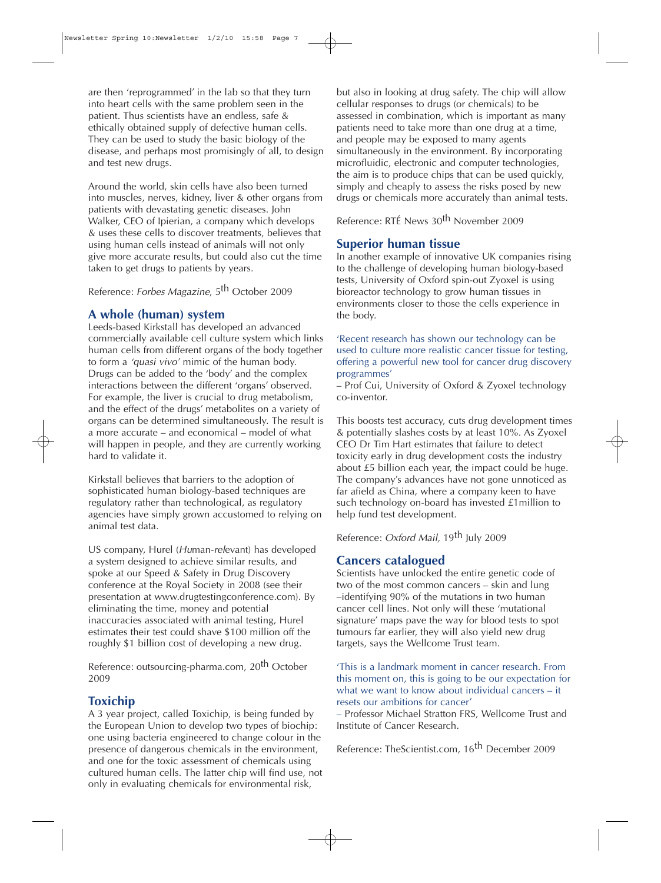are then 'reprogrammed' in the lab so that they turn into heart cells with the same problem seen in the patient. Thus scientists have an endless, safe & ethically obtained supply of defective human cells. They can be used to study the basic biology of the disease, and perhaps most promisingly of all, to design and test new drugs.

Around the world, skin cells have also been turned into muscles, nerves, kidney, liver & other organs from patients with devastating genetic diseases. John Walker, CEO of Ipierian, a company which develops & uses these cells to discover treatments, believes that using human cells instead of animals will not only give more accurate results, but could also cut the time taken to get drugs to patients by years.

Reference: Forbes Magazine, 5<sup>th</sup> October 2009

#### **A whole (human) system**

Leeds-based Kirkstall has developed an advanced commercially available cell culture system which links human cells from different organs of the body together to form a 'quasi vivo' mimic of the human body. Drugs can be added to the 'body' and the complex interactions between the different 'organs' observed. For example, the liver is crucial to drug metabolism, and the effect of the drugs' metabolites on a variety of organs can be determined simultaneously. The result is a more accurate – and economical – model of what will happen in people, and they are currently working hard to validate it.

Kirkstall believes that barriers to the adoption of sophisticated human biology-based techniques are regulatory rather than technological, as regulatory agencies have simply grown accustomed to relying on animal test data.

US company, Hurel (Human-relevant) has developed a system designed to achieve similar results, and spoke at our Speed & Safety in Drug Discovery conference at the Royal Society in 2008 (see their presentation at www.drugtestingconference.com). By eliminating the time, money and potential inaccuracies associated with animal testing, Hurel estimates their test could shave \$100 million off the roughly \$1 billion cost of developing a new drug.

Reference: outsourcing-pharma.com, 20<sup>th</sup> October 2009

#### **Toxichip**

A 3 year project, called Toxichip, is being funded by the European Union to develop two types of biochip: one using bacteria engineered to change colour in the presence of dangerous chemicals in the environment, and one for the toxic assessment of chemicals using cultured human cells. The latter chip will find use, not only in evaluating chemicals for environmental risk,

but also in looking at drug safety. The chip will allow cellular responses to drugs (or chemicals) to be assessed in combination, which is important as many patients need to take more than one drug at a time, and people may be exposed to many agents simultaneously in the environment. By incorporating microfluidic, electronic and computer technologies, the aim is to produce chips that can be used quickly, simply and cheaply to assess the risks posed by new drugs or chemicals more accurately than animal tests.

Reference: RTÉ News 30<sup>th</sup> November 2009

#### **Superior human tissue**

In another example of innovative UK companies rising to the challenge of developing human biology-based tests, University of Oxford spin-out Zyoxel is using bioreactor technology to grow human tissues in environments closer to those the cells experience in the body.

'Recent research has shown our technology can be used to culture more realistic cancer tissue for testing, offering a powerful new tool for cancer drug discovery programmes'

– Prof Cui, University of Oxford & Zyoxel technology co-inventor.

This boosts test accuracy, cuts drug development times & potentially slashes costs by at least 10%. As Zyoxel CEO Dr Tim Hart estimates that failure to detect toxicity early in drug development costs the industry about £5 billion each year, the impact could be huge. The company's advances have not gone unnoticed as far afield as China, where a company keen to have such technology on-board has invested £1million to help fund test development.

Reference: Oxford Mail, 19th July 2009

#### **Cancers catalogued**

Scientists have unlocked the entire genetic code of two of the most common cancers – skin and lung –identifying 90% of the mutations in two human cancer cell lines. Not only will these 'mutational signature' maps pave the way for blood tests to spot tumours far earlier, they will also yield new drug targets, says the Wellcome Trust team.

'This is a landmark moment in cancer research. From this moment on, this is going to be our expectation for what we want to know about individual cancers – it resets our ambitions for cancer'

– Professor Michael Stratton FRS, Wellcome Trust and Institute of Cancer Research.

Reference: TheScientist.com, 16<sup>th</sup> December 2009